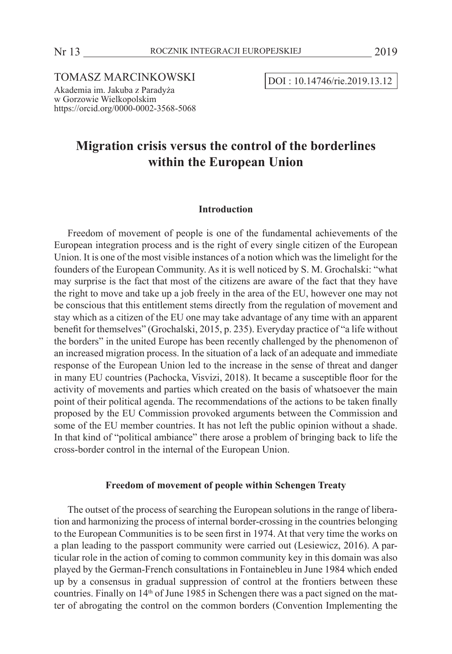TOMASZ MARCINKOWSKI DOI : 10.14746/rie.2019.13.12

https://orcid.org/0000-0002-3568-5068

Akademia im. Jakuba z Paradyża w Gorzowie Wielkopolskim

# **Migration crisis versus the control of the borderlines within the European Union**

#### **Introduction**

Freedom of movement of people is one of the fundamental achievements of the European integration process and is the right of every single citizen of the European Union. It is one of the most visible instances of a notion which was the limelight for the founders of the European Community. As it is well noticed by S. M. Grochalski: "what may surprise is the fact that most of the citizens are aware of the fact that they have the right to move and take up a job freely in the area of the EU, however one may not be conscious that this entitlement stems directly from the regulation of movement and stay which as a citizen of the EU one may take advantage of any time with an apparent benefit for themselves" (Grochalski, 2015, p. 235). Everyday practice of "a life without the borders" in the united Europe has been recently challenged by the phenomenon of an increased migration process. In the situation of a lack of an adequate and immediate response of the European Union led to the increase in the sense of threat and danger in many EU countries (Pachocka, Visvizi, 2018). It became a susceptible floor for the activity of movements and parties which created on the basis of whatsoever the main point of their political agenda. The recommendations of the actions to be taken finally proposed by the EU Commission provoked arguments between the Commission and some of the EU member countries. It has not left the public opinion without a shade. In that kind of "political ambiance" there arose a problem of bringing back to life the cross-border control in the internal of the European Union.

# **Freedom of movement of people within Schengen Treaty**

The outset of the process of searching the European solutions in the range of liberation and harmonizing the process of internal border-crossing in the countries belonging to the European Communities is to be seen first in 1974. At that very time the works on a plan leading to the passport community were carried out (Lesiewicz, 2016). A particular role in the action of coming to common community key in this domain was also played by the German-French consultations in Fontainebleu in June 1984 which ended up by a consensus in gradual suppression of control at the frontiers between these countries. Finally on 14<sup>th</sup> of June 1985 in Schengen there was a pact signed on the matter of abrogating the control on the common borders (Convention Implementing the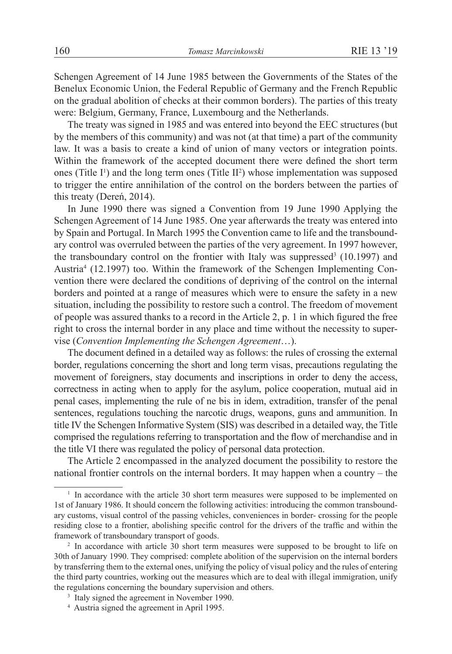Schengen Agreement of 14 June 1985 between the Governments of the States of the Benelux Economic Union, the Federal Republic of Germany and the French Republic on the gradual abolition of checks at their common borders). The parties of this treaty were: Belgium, Germany, France, Luxembourg and the Netherlands.

The treaty was signed in 1985 and was entered into beyond the EEC structures (but by the members of this community) and was not (at that time) a part of the community law. It was a basis to create a kind of union of many vectors or integration points. Within the framework of the accepted document there were defined the short term ones (Title  $I^1$ ) and the long term ones (Title  $II^2$ ) whose implementation was supposed to trigger the entire annihilation of the control on the borders between the parties of this treaty (Dereń, 2014).

In June 1990 there was signed a Convention from 19 June 1990 Applying the Schengen Agreement of 14 June 1985. One year afterwards the treaty was entered into by Spain and Portugal. In March 1995 the Convention came to life and the transboundary control was overruled between the parties of the very agreement. In 1997 however, the transboundary control on the frontier with Italy was suppressed<sup>3</sup>  $(10.1997)$  and Austria4 (12.1997) too. Within the framework of the Schengen Implementing Convention there were declared the conditions of depriving of the control on the internal borders and pointed at a range of measures which were to ensure the safety in a new situation, including the possibility to restore such a control. The freedom of movement of people was assured thanks to a record in the Article 2, p. 1 in which figured the free right to cross the internal border in any place and time without the necessity to supervise (*Convention Implementing the Schengen Agreement*…).

The document defined in a detailed way as follows: the rules of crossing the external border, regulations concerning the short and long term visas, precautions regulating the movement of foreigners, stay documents and inscriptions in order to deny the access, correctness in acting when to apply for the asylum, police cooperation, mutual aid in penal cases, implementing the rule of ne bis in idem, extradition, transfer of the penal sentences, regulations touching the narcotic drugs, weapons, guns and ammunition. In title IV the Schengen Informative System (SIS) was described in a detailed way, the Title comprised the regulations referring to transportation and the flow of merchandise and in the title VI there was regulated the policy of personal data protection.

The Article 2 encompassed in the analyzed document the possibility to restore the national frontier controls on the internal borders. It may happen when a country – the

<sup>&</sup>lt;sup>1</sup> In accordance with the article 30 short term measures were supposed to be implemented on 1st of January 1986. It should concern the following activities: introducing the common transboundary customs, visual control of the passing vehicles, conveniences in border- crossing for the people residing close to a frontier, abolishing specific control for the drivers of the traffic and within the framework of transboundary transport of goods.

<sup>&</sup>lt;sup>2</sup> In accordance with article 30 short term measures were supposed to be brought to life on 30th of January 1990. They comprised: complete abolition of the supervision on the internal borders by transferring them to the external ones, unifying the policy of visual policy and the rules of entering the third party countries, working out the measures which are to deal with illegal immigration, unify the regulations concerning the boundary supervision and others.

<sup>&</sup>lt;sup>3</sup> Italy signed the agreement in November 1990.

<sup>4</sup> Austria signed the agreement in April 1995.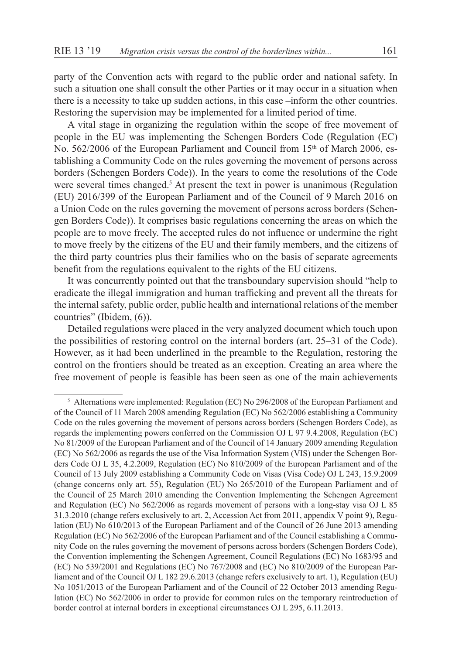party of the Convention acts with regard to the public order and national safety. In such a situation one shall consult the other Parties or it may occur in a situation when there is a necessity to take up sudden actions, in this case –inform the other countries. Restoring the supervision may be implemented for a limited period of time.

A vital stage in organizing the regulation within the scope of free movement of people in the EU was implementing the Schengen Borders Code (Regulation (EC) No. 562/2006 of the European Parliament and Council from 15<sup>th</sup> of March 2006, establishing a Community Code on the rules governing the movement of persons across borders (Schengen Borders Code)). In the years to come the resolutions of the Code were several times changed.<sup>5</sup> At present the text in power is unanimous (Regulation (EU) 2016/399 of the European Parliament and of the Council of 9 March 2016 on a Union Code on the rules governing the movement of persons across borders (Schengen Borders Code)). It comprises basic regulations concerning the areas on which the people are to move freely. The accepted rules do not influence or undermine the right to move freely by the citizens of the EU and their family members, and the citizens of the third party countries plus their families who on the basis of separate agreements benefit from the regulations equivalent to the rights of the EU citizens.

It was concurrently pointed out that the transboundary supervision should "help to eradicate the illegal immigration and human trafficking and prevent all the threats for the internal safety, public order, public health and international relations of the member countries" (Ibidem, (6)).

Detailed regulations were placed in the very analyzed document which touch upon the possibilities of restoring control on the internal borders (art. 25–31 of the Code). However, as it had been underlined in the preamble to the Regulation, restoring the control on the frontiers should be treated as an exception. Creating an area where the free movement of people is feasible has been seen as one of the main achievements

<sup>5</sup> Alternations were implemented: Regulation (EC) No 296/2008 of the European Parliament and of the Council of 11 March 2008 amending Regulation (EC) No 562/2006 establishing a Community Code on the rules governing the movement of persons across borders (Schengen Borders Code), as regards the implementing powers conferred on the Commission OJ L 97 9.4.2008, Regulation (EC) No 81/2009 of the European Parliament and of the Council of 14 January 2009 amending Regulation (EC) No 562/2006 as regards the use of the Visa Information System (VIS) under the Schengen Borders Code OJ L 35, 4.2.2009, Regulation (EC) No 810/2009 of the European Parliament and of the Council of 13 July 2009 establishing a Community Code on Visas (Visa Code) OJ L 243, 15.9.2009 (change concerns only art. 55), Regulation (EU) No 265/2010 of the European Parliament and of the Council of 25 March 2010 amending the Convention Implementing the Schengen Agreement and Regulation (EC) No 562/2006 as regards movement of persons with a long-stay visa OJ L 85 31.3.2010 (change refers exclusively to art. 2, Accession Act from 2011, appendix V point 9), Regulation (EU) No 610/2013 of the European Parliament and of the Council of 26 June 2013 amending Regulation (EC) No 562/2006 of the European Parliament and of the Council establishing a Community Code on the rules governing the movement of persons across borders (Schengen Borders Code), the Convention implementing the Schengen Agreement, Council Regulations (EC) No 1683/95 and (EC) No 539/2001 and Regulations (EC) No 767/2008 and (EC) No 810/2009 of the European Parliament and of the Council OJ L 182 29.6.2013 (change refers exclusively to art. 1), Regulation (EU) No 1051/2013 of the European Parliament and of the Council of 22 October 2013 amending Regulation (EC) No 562/2006 in order to provide for common rules on the temporary reintroduction of border control at internal borders in exceptional circumstances OJ L 295, 6.11.2013.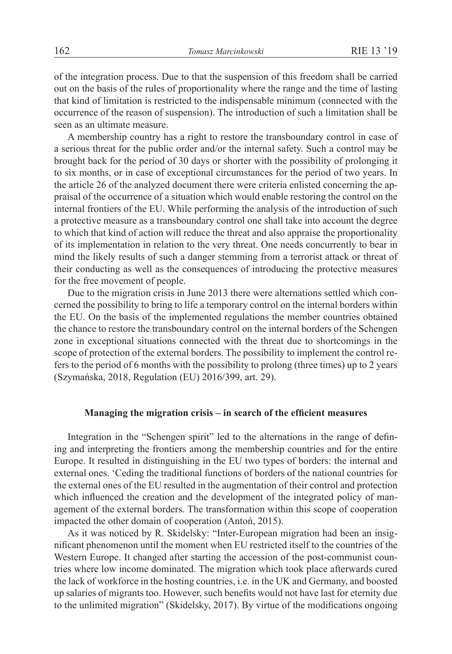of the integration process. Due to that the suspension of this freedom shall be carried out on the basis of the rules of proportionality where the range and the time of lasting that kind of limitation is restricted to the indispensable minimum (connected with the occurrence of the reason of suspension). The introduction of such a limitation shall be seen as an ultimate measure.

A membership country has a right to restore the transboundary control in case of a serious threat for the public order and/or the internal safety. Such a control may be brought back for the period of 30 days or shorter with the possibility of prolonging it to six months, or in case of exceptional circumstances for the period of two years. In the article 26 of the analyzed document there were criteria enlisted concerning the appraisal of the occurrence of a situation which would enable restoring the control on the internal frontiers of the EU. While performing the analysis of the introduction of such a protective measure as a transboundary control one shall take into account the degree to which that kind of action will reduce the threat and also appraise the proportionality of its implementation in relation to the very threat. One needs concurrently to bear in mind the likely results of such a danger stemming from a terrorist attack or threat of their conducting as well as the consequences of introducing the protective measures for the free movement of people.

Due to the migration crisis in June 2013 there were alternations settled which concerned the possibility to bring to life a temporary control on the internal borders within the EU. On the basis of the implemented regulations the member countries obtained the chance to restore the transboundary control on the internal borders of the Schengen zone in exceptional situations connected with the threat due to shortcomings in the scope of protection of the external borders. The possibility to implement the control refers to the period of 6 months with the possibility to prolong (three times) up to 2 years (Szymańska, 2018, Regulation (EU) 2016/399, art. 29).

# **Managing the migration crisis – in search of the efficient measures**

Integration in the "Schengen spirit" led to the alternations in the range of defining and interpreting the frontiers among the membership countries and for the entire Europe. It resulted in distinguishing in the EU two types of borders: the internal and external ones. 'Ceding the traditional functions of borders of the national countries for the external ones of the EU resulted in the augmentation of their control and protection which influenced the creation and the development of the integrated policy of management of the external borders. The transformation within this scope of cooperation impacted the other domain of cooperation (Antoń, 2015).

As it was noticed by R. Skidelsky: "Inter-European migration had been an insignificant phenomenon until the moment when EU restricted itself to the countries of the Western Europe. It changed after starting the accession of the post-communist countries where low income dominated. The migration which took place afterwards cured the lack of workforce in the hosting countries, i.e. in the UK and Germany, and boosted up salaries of migrants too. However, such benefits would not have last for eternity due to the unlimited migration" (Skidelsky, 2017). By virtue of the modifications ongoing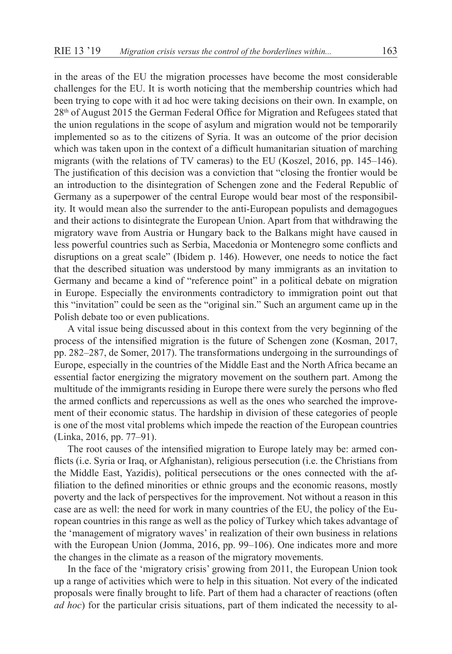in the areas of the EU the migration processes have become the most considerable challenges for the EU. It is worth noticing that the membership countries which had been trying to cope with it ad hoc were taking decisions on their own. In example, on 28th of August 2015 the German Federal Office for Migration and Refugees stated that the union regulations in the scope of asylum and migration would not be temporarily implemented so as to the citizens of Syria. It was an outcome of the prior decision which was taken upon in the context of a difficult humanitarian situation of marching migrants (with the relations of TV cameras) to the EU (Koszel, 2016, pp. 145–146). The justification of this decision was a conviction that "closing the frontier would be an introduction to the disintegration of Schengen zone and the Federal Republic of Germany as a superpower of the central Europe would bear most of the responsibility. It would mean also the surrender to the anti-European populists and demagogues and their actions to disintegrate the European Union. Apart from that withdrawing the migratory wave from Austria or Hungary back to the Balkans might have caused in less powerful countries such as Serbia, Macedonia or Montenegro some conflicts and disruptions on a great scale" (Ibidem p. 146). However, one needs to notice the fact that the described situation was understood by many immigrants as an invitation to Germany and became a kind of "reference point" in a political debate on migration in Europe. Especially the environments contradictory to immigration point out that this "invitation" could be seen as the "original sin." Such an argument came up in the Polish debate too or even publications.

A vital issue being discussed about in this context from the very beginning of the process of the intensified migration is the future of Schengen zone (Kosman, 2017, pp. 282–287, de Somer, 2017). The transformations undergoing in the surroundings of Europe, especially in the countries of the Middle East and the North Africa became an essential factor energizing the migratory movement on the southern part. Among the multitude of the immigrants residing in Europe there were surely the persons who fled the armed conflicts and repercussions as well as the ones who searched the improvement of their economic status. The hardship in division of these categories of people is one of the most vital problems which impede the reaction of the European countries (Linka, 2016, pp. 77–91).

The root causes of the intensified migration to Europe lately may be: armed conflicts (i.e. Syria or Iraq, or Afghanistan), religious persecution (i.e. the Christians from the Middle East, Yazidis), political persecutions or the ones connected with the affiliation to the defined minorities or ethnic groups and the economic reasons, mostly poverty and the lack of perspectives for the improvement. Not without a reason in this case are as well: the need for work in many countries of the EU, the policy of the European countries in this range as well as the policy of Turkey which takes advantage of the 'management of migratory waves' in realization of their own business in relations with the European Union (Jomma, 2016, pp. 99–106). One indicates more and more the changes in the climate as a reason of the migratory movements.

In the face of the 'migratory crisis' growing from 2011, the European Union took up a range of activities which were to help in this situation. Not every of the indicated proposals were finally brought to life. Part of them had a character of reactions (often *ad hoc*) for the particular crisis situations, part of them indicated the necessity to al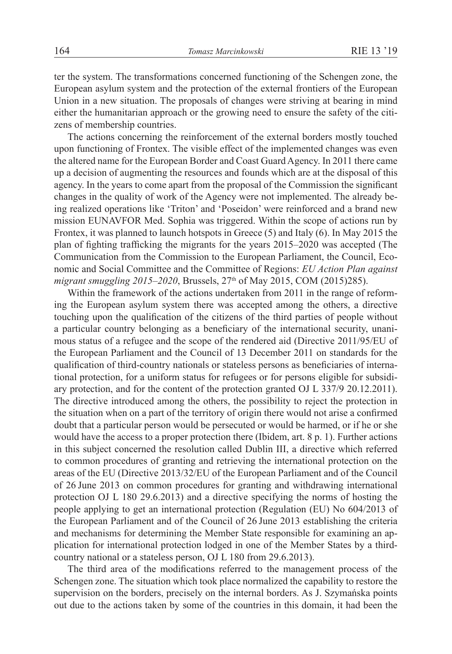ter the system. The transformations concerned functioning of the Schengen zone, the European asylum system and the protection of the external frontiers of the European Union in a new situation. The proposals of changes were striving at bearing in mind either the humanitarian approach or the growing need to ensure the safety of the citizens of membership countries.

The actions concerning the reinforcement of the external borders mostly touched upon functioning of Frontex. The visible effect of the implemented changes was even the altered name for the European Border and Coast Guard Agency. In 2011 there came up a decision of augmenting the resources and founds which are at the disposal of this agency. In the years to come apart from the proposal of the Commission the significant changes in the quality of work of the Agency were not implemented. The already being realized operations like 'Triton' and 'Poseidon' were reinforced and a brand new mission EUNAVFOR Med. Sophia was triggered. Within the scope of actions run by Frontex, it was planned to launch hotspots in Greece (5) and Italy (6). In May 2015 the plan of fighting trafficking the migrants for the years 2015–2020 was accepted (The Communication from the Commission to the European Parliament, the Council, Economic and Social Committee and the Committee of Regions: *EU Action Plan against migrant smuggling 2015–2020*, Brussels, 27<sup>th</sup> of May 2015, COM (2015)285).

Within the framework of the actions undertaken from 2011 in the range of reforming the European asylum system there was accepted among the others, a directive touching upon the qualification of the citizens of the third parties of people without a particular country belonging as a beneficiary of the international security, unanimous status of a refugee and the scope of the rendered aid (Directive 2011/95/EU of the European Parliament and the Council of 13 December 2011 on standards for the qualification of third-country nationals or stateless persons as beneficiaries of international protection, for a uniform status for refugees or for persons eligible for subsidiary protection, and for the content of the protection granted OJ L 337/9 20.12.2011). The directive introduced among the others, the possibility to reject the protection in the situation when on a part of the territory of origin there would not arise a confirmed doubt that a particular person would be persecuted or would be harmed, or if he or she would have the access to a proper protection there (Ibidem, art. 8 p. 1). Further actions in this subject concerned the resolution called Dublin III, a directive which referred to common procedures of granting and retrieving the international protection on the areas of the EU (Directive 2013/32/EU of the European Parliament and of the Council of 26 June 2013 on common procedures for granting and withdrawing international protection OJ L 180 29.6.2013) and a directive specifying the norms of hosting the people applying to get an international protection (Regulation (EU) No 604/2013 of the European Parliament and of the Council of 26 June 2013 establishing the criteria and mechanisms for determining the Member State responsible for examining an application for international protection lodged in one of the Member States by a thirdcountry national or a stateless person, OJ L 180 from 29.6.2013).

The third area of the modifications referred to the management process of the Schengen zone. The situation which took place normalized the capability to restore the supervision on the borders, precisely on the internal borders. As J. Szymańska points out due to the actions taken by some of the countries in this domain, it had been the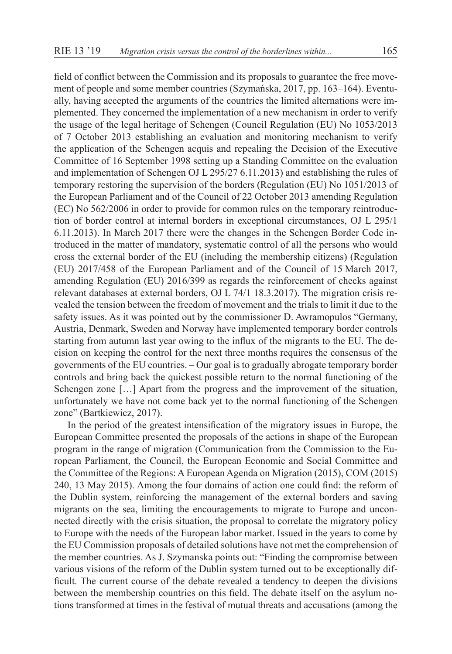field of conflict between the Commission and its proposals to guarantee the free movement of people and some member countries (Szymańska, 2017, pp. 163–164). Eventually, having accepted the arguments of the countries the limited alternations were implemented. They concerned the implementation of a new mechanism in order to verify the usage of the legal heritage of Schengen (Council Regulation (EU) No 1053/2013 of 7 October 2013 establishing an evaluation and monitoring mechanism to verify the application of the Schengen acquis and repealing the Decision of the Executive Committee of 16 September 1998 setting up a Standing Committee on the evaluation and implementation of Schengen OJ L 295/27 6.11.2013) and establishing the rules of temporary restoring the supervision of the borders (Regulation (EU) No 1051/2013 of the European Parliament and of the Council of 22 October 2013 amending Regulation (EC) No 562/2006 in order to provide for common rules on the temporary reintroduction of border control at internal borders in exceptional circumstances, OJ L 295/1 6.11.2013). In March 2017 there were the changes in the Schengen Border Code introduced in the matter of mandatory, systematic control of all the persons who would cross the external border of the EU (including the membership citizens) (Regulation (EU) 2017/458 of the European Parliament and of the Council of 15 March 2017, amending Regulation (EU) 2016/399 as regards the reinforcement of checks against relevant databases at external borders, OJ L 74/1 18.3.2017). The migration crisis revealed the tension between the freedom of movement and the trials to limit it due to the safety issues. As it was pointed out by the commissioner D. Awramopulos "Germany, Austria, Denmark, Sweden and Norway have implemented temporary border controls starting from autumn last year owing to the influx of the migrants to the EU. The decision on keeping the control for the next three months requires the consensus of the governments of the EU countries. – Our goal is to gradually abrogate temporary border controls and bring back the quickest possible return to the normal functioning of the Schengen zone […] Apart from the progress and the improvement of the situation, unfortunately we have not come back yet to the normal functioning of the Schengen zone" (Bartkiewicz, 2017).

In the period of the greatest intensification of the migratory issues in Europe, the European Committee presented the proposals of the actions in shape of the European program in the range of migration (Communication from the Commission to the European Parliament, the Council, the European Economic and Social Committee and the Committee of the Regions: A European Agenda on Migration (2015), COM (2015) 240, 13 May 2015). Among the four domains of action one could find: the reform of the Dublin system, reinforcing the management of the external borders and saving migrants on the sea, limiting the encouragements to migrate to Europe and unconnected directly with the crisis situation, the proposal to correlate the migratory policy to Europe with the needs of the European labor market. Issued in the years to come by the EU Commission proposals of detailed solutions have not met the comprehension of the member countries. As J. Szymanska points out: "Finding the compromise between various visions of the reform of the Dublin system turned out to be exceptionally difficult. The current course of the debate revealed a tendency to deepen the divisions between the membership countries on this field. The debate itself on the asylum notions transformed at times in the festival of mutual threats and accusations (among the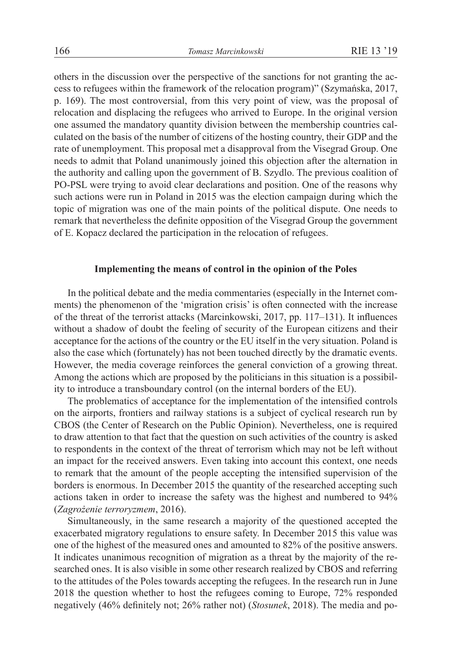others in the discussion over the perspective of the sanctions for not granting the access to refugees within the framework of the relocation program)" (Szymańska, 2017, p. 169). The most controversial, from this very point of view, was the proposal of relocation and displacing the refugees who arrived to Europe. In the original version one assumed the mandatory quantity division between the membership countries calculated on the basis of the number of citizens of the hosting country, their GDP and the rate of unemployment. This proposal met a disapproval from the Visegrad Group. One needs to admit that Poland unanimously joined this objection after the alternation in the authority and calling upon the government of B. Szydlo. The previous coalition of PO-PSL were trying to avoid clear declarations and position. One of the reasons why such actions were run in Poland in 2015 was the election campaign during which the topic of migration was one of the main points of the political dispute. One needs to remark that nevertheless the definite opposition of the Visegrad Group the government of E. Kopacz declared the participation in the relocation of refugees.

# **Implementing the means of control in the opinion of the Poles**

In the political debate and the media commentaries (especially in the Internet comments) the phenomenon of the 'migration crisis' is often connected with the increase of the threat of the terrorist attacks (Marcinkowski, 2017, pp. 117–131). It influences without a shadow of doubt the feeling of security of the European citizens and their acceptance for the actions of the country or the EU itself in the very situation. Poland is also the case which (fortunately) has not been touched directly by the dramatic events. However, the media coverage reinforces the general conviction of a growing threat. Among the actions which are proposed by the politicians in this situation is a possibility to introduce a transboundary control (on the internal borders of the EU).

The problematics of acceptance for the implementation of the intensified controls on the airports, frontiers and railway stations is a subject of cyclical research run by CBOS (the Center of Research on the Public Opinion). Nevertheless, one is required to draw attention to that fact that the question on such activities of the country is asked to respondents in the context of the threat of terrorism which may not be left without an impact for the received answers. Even taking into account this context, one needs to remark that the amount of the people accepting the intensified supervision of the borders is enormous. In December 2015 the quantity of the researched accepting such actions taken in order to increase the safety was the highest and numbered to 94% (*Zagrożenie terroryzmem*, 2016).

Simultaneously, in the same research a majority of the questioned accepted the exacerbated migratory regulations to ensure safety. In December 2015 this value was one of the highest of the measured ones and amounted to 82% of the positive answers. It indicates unanimous recognition of migration as a threat by the majority of the researched ones. It is also visible in some other research realized by CBOS and referring to the attitudes of the Poles towards accepting the refugees. In the research run in June 2018 the question whether to host the refugees coming to Europe, 72% responded negatively (46% definitely not; 26% rather not) (*Stosunek*, 2018). The media and po-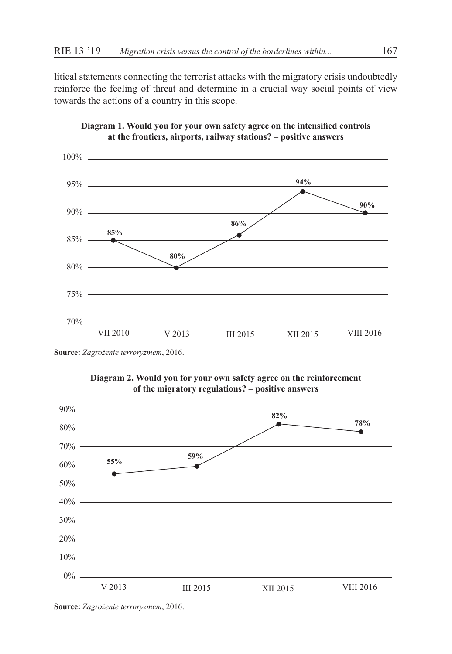litical statements connecting the terrorist attacks with the migratory crisis undoubtedly reinforce the feeling of threat and determine in a crucial way social points of view towards the actions of a country in this scope.





**Source:** *Zagrożenie terroryzmem*, 2016.





**Source:** *Zagrożenie terroryzmem*, 2016.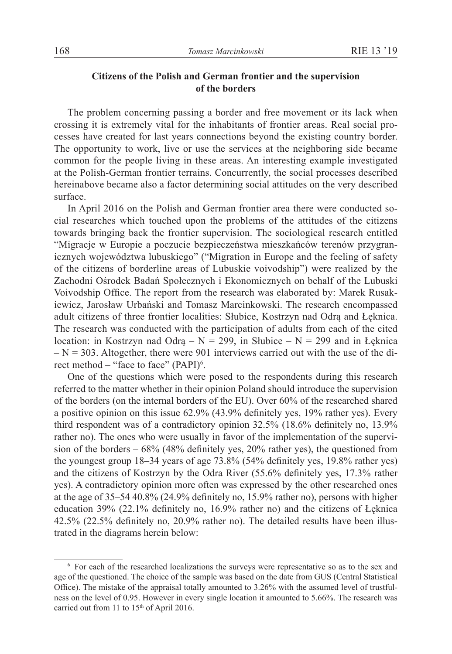# **Citizens of the Polish and German frontier and the supervision of the borders**

The problem concerning passing a border and free movement or its lack when crossing it is extremely vital for the inhabitants of frontier areas. Real social processes have created for last years connections beyond the existing country border. The opportunity to work, live or use the services at the neighboring side became common for the people living in these areas. An interesting example investigated at the Polish-German frontier terrains. Concurrently, the social processes described hereinabove became also a factor determining social attitudes on the very described surface.

In April 2016 on the Polish and German frontier area there were conducted social researches which touched upon the problems of the attitudes of the citizens towards bringing back the frontier supervision. The sociological research entitled "Migracje w Europie a poczucie bezpieczeństwa mieszkańców terenów przygranicznych województwa lubuskiego" ("Migration in Europe and the feeling of safety of the citizens of borderline areas of Lubuskie voivodship") were realized by the Zachodni Ośrodek Badań Społecznych i Ekonomicznych on behalf of the Lubuski Voivodship Office. The report from the research was elaborated by: Marek Rusakiewicz, Jarosław Urbański and Tomasz Marcinkowski. The research encompassed adult citizens of three frontier localities: Słubice, Kostrzyn nad Odrą and Łęknica. The research was conducted with the participation of adults from each of the cited location: in Kostrzyn nad Odrą –  $N = 299$ , in Słubice –  $N = 299$  and in Łęknica  $- N = 303$ . Altogether, there were 901 interviews carried out with the use of the direct method – "face to face" (PAPI)<sup>6</sup>.

One of the questions which were posed to the respondents during this research referred to the matter whether in their opinion Poland should introduce the supervision of the borders (on the internal borders of the EU). Over 60% of the researched shared a positive opinion on this issue 62.9% (43.9% definitely yes, 19% rather yes). Every third respondent was of a contradictory opinion 32.5% (18.6% definitely no, 13.9% rather no). The ones who were usually in favor of the implementation of the supervision of the borders – 68% (48% definitely yes, 20% rather yes), the questioned from the youngest group 18–34 years of age 73.8% (54% definitely yes, 19.8% rather yes) and the citizens of Kostrzyn by the Odra River (55.6% definitely yes, 17.3% rather yes). A contradictory opinion more often was expressed by the other researched ones at the age of 35–54 40.8% (24.9% definitely no, 15.9% rather no), persons with higher education 39% (22.1% definitely no, 16.9% rather no) and the citizens of Łęknica 42.5% (22.5% definitely no, 20.9% rather no). The detailed results have been illustrated in the diagrams herein below:

<sup>6</sup> For each of the researched localizations the surveys were representative so as to the sex and age of the questioned. The choice of the sample was based on the date from GUS (Central Statistical Office). The mistake of the appraisal totally amounted to 3.26% with the assumed level of trustfulness on the level of 0.95. However in every single location it amounted to 5.66%. The research was carried out from 11 to  $15<sup>th</sup>$  of April 2016.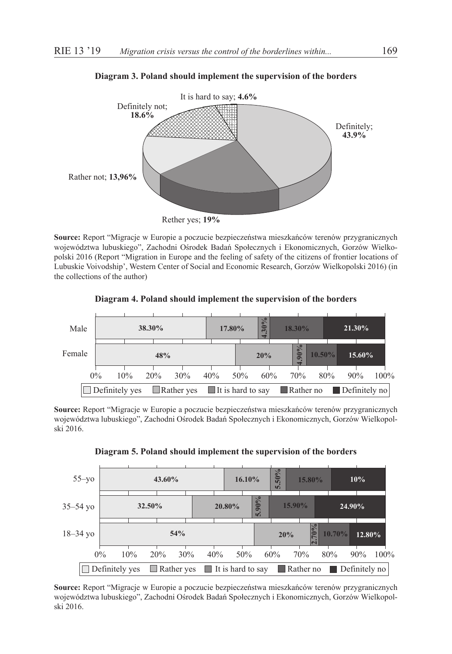

#### **Diagram 3. Poland should implement the supervision of the borders**

Rether yes; **19%**

**Source:** Report "Migracje w Europie a poczucie bezpieczeństwa mieszkańców terenów przygranicznych województwa lubuskiego", Zachodni Ośrodek Badań Społecznych i Ekonomicznych, Gorzów Wielkopolski 2016 (Report "Migration in Europe and the feeling of safety of the citizens of frontier locations of Lubuskie Voivodship', Western Center of Social and Economic Research, Gorzów Wielkopolski 2016) (in the collections of the author)

#### **Diagram 4. Poland should implement the supervision of the borders**



**Source:** Report "Migracje w Europie a poczucie bezpieczeństwa mieszkańców terenów przygranicznych województwa lubuskiego", Zachodni Ośrodek Badań Społecznych i Ekonomicznych, Gorzów Wielkopolski 2016.



**Diagram 5. Poland should implement the supervision of the borders**

**Source:** Report "Migracje w Europie a poczucie bezpieczeństwa mieszkańców terenów przygranicznych województwa lubuskiego", Zachodni Ośrodek Badań Społecznych i Ekonomicznych, Gorzów Wielkopolski 2016.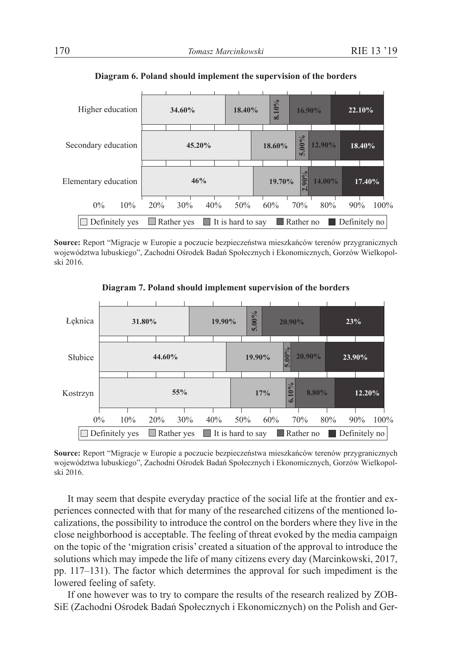| Higher education     |        | 34.60%               |     |  |                                                                       | 18.40% |        | 8.10%  | 16.90% |        | 22.10% |      |
|----------------------|--------|----------------------|-----|--|-----------------------------------------------------------------------|--------|--------|--------|--------|--------|--------|------|
| Secondary education  | 45.20% |                      |     |  |                                                                       |        | 18.60% | 5.00%  | 12.90% | 18.40% |        |      |
| Elementary education |        | 46%                  |     |  |                                                                       |        |        | 19.70% | $90\%$ | 14.00% | 17.40% |      |
| $0\%$<br>10%         |        | 20%                  | 30% |  | 40%                                                                   | 50%    |        | 60%    | 70%    | 80%    | 90%    | 100% |
| Definitely yes       |        | Rather yes<br>$\Box$ |     |  | $\Box$ Rather no<br>$\blacksquare$ It is hard to say<br>Definitely no |        |        |        |        |        |        |      |

**Diagram 6. Poland should implement the supervision of the borders**

**Source:** Report "Migracje w Europie a poczucie bezpieczeństwa mieszkańców terenów przygranicznych województwa lubuskiego", Zachodni Ośrodek Badań Społecznych i Ekonomicznych, Gorzów Wielkopolski 2016.



**Diagram 7. Poland should implement supervision of the borders**

**Source:** Report "Migracje w Europie a poczucie bezpieczeństwa mieszkańców terenów przygranicznych województwa lubuskiego", Zachodni Ośrodek Badań Społecznych i Ekonomicznych, Gorzów Wielkopolski 2016.

It may seem that despite everyday practice of the social life at the frontier and experiences connected with that for many of the researched citizens of the mentioned localizations, the possibility to introduce the control on the borders where they live in the close neighborhood is acceptable. The feeling of threat evoked by the media campaign on the topic of the 'migration crisis' created a situation of the approval to introduce the solutions which may impede the life of many citizens every day (Marcinkowski, 2017, pp. 117–131). The factor which determines the approval for such impediment is the lowered feeling of safety.

If one however was to try to compare the results of the research realized by ZOB-SiE (Zachodni Ośrodek Badań Społecznych i Ekonomicznych) on the Polish and Ger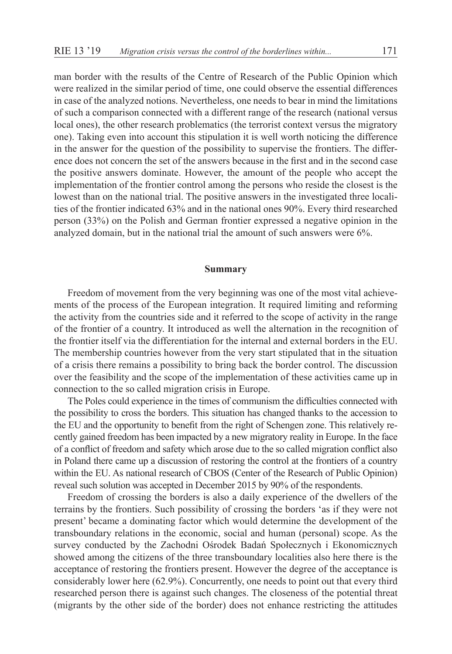man border with the results of the Centre of Research of the Public Opinion which were realized in the similar period of time, one could observe the essential differences in case of the analyzed notions. Nevertheless, one needs to bear in mind the limitations of such a comparison connected with a different range of the research (national versus local ones), the other research problematics (the terrorist context versus the migratory one). Taking even into account this stipulation it is well worth noticing the difference in the answer for the question of the possibility to supervise the frontiers. The difference does not concern the set of the answers because in the first and in the second case the positive answers dominate. However, the amount of the people who accept the implementation of the frontier control among the persons who reside the closest is the lowest than on the national trial. The positive answers in the investigated three localities of the frontier indicated 63% and in the national ones 90%. Every third researched person (33%) on the Polish and German frontier expressed a negative opinion in the analyzed domain, but in the national trial the amount of such answers were 6%.

# **Summary**

Freedom of movement from the very beginning was one of the most vital achievements of the process of the European integration. It required limiting and reforming the activity from the countries side and it referred to the scope of activity in the range of the frontier of a country. It introduced as well the alternation in the recognition of the frontier itself via the differentiation for the internal and external borders in the EU. The membership countries however from the very start stipulated that in the situation of a crisis there remains a possibility to bring back the border control. The discussion over the feasibility and the scope of the implementation of these activities came up in connection to the so called migration crisis in Europe.

The Poles could experience in the times of communism the difficulties connected with the possibility to cross the borders. This situation has changed thanks to the accession to the EU and the opportunity to benefit from the right of Schengen zone. This relatively recently gained freedom has been impacted by a new migratory reality in Europe. In the face of a conflict of freedom and safety which arose due to the so called migration conflict also in Poland there came up a discussion of restoring the control at the frontiers of a country within the EU. As national research of CBOS (Center of the Research of Public Opinion) reveal such solution was accepted in December 2015 by 90% of the respondents.

Freedom of crossing the borders is also a daily experience of the dwellers of the terrains by the frontiers. Such possibility of crossing the borders 'as if they were not present' became a dominating factor which would determine the development of the transboundary relations in the economic, social and human (personal) scope. As the survey conducted by the Zachodni Ośrodek Badań Społecznych i Ekonomicznych showed among the citizens of the three transboundary localities also here there is the acceptance of restoring the frontiers present. However the degree of the acceptance is considerably lower here (62.9%). Concurrently, one needs to point out that every third researched person there is against such changes. The closeness of the potential threat (migrants by the other side of the border) does not enhance restricting the attitudes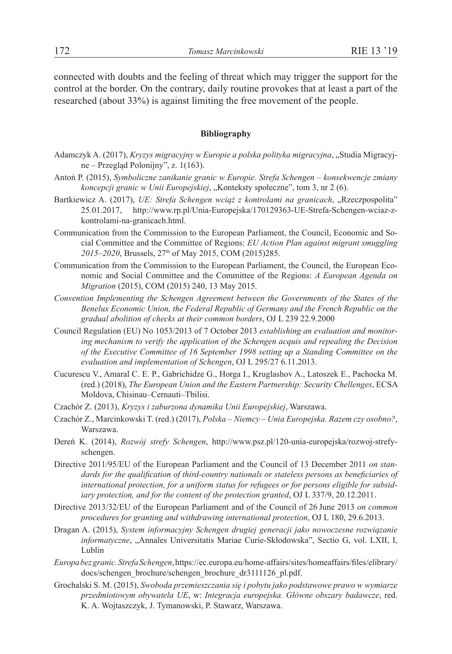connected with doubts and the feeling of threat which may trigger the support for the control at the border. On the contrary, daily routine provokes that at least a part of the researched (about 33%) is against limiting the free movement of the people.

# **Bibliography**

- Adamczyk A. (2017), *Kryzys migracyjny w Europie a polska polityka migracyjna*, "Studia Migracyjne – Przegląd Polonijny", z. 1(163).
- Antoń P. (2015), *Symboliczne zanikanie granic w Europie. Strefa Schengen konsekwencje zmiany koncepcji granic w Unii Europejskiej*, "Konteksty społeczne", tom 3, nr 2 (6).
- Bartkiewicz A. (2017), *UE: Strefa Schengen wciąż z kontrolami na granicach*, "Rzeczpospolita" 25.01.2017, http://www.rp.pl/Unia-Europejska/170129363-UE-Strefa-Schengen-wciaz-zkontrolami-na-granicach.html.
- Communication from the Commission to the European Parliament, the Council, Economic and Social Committee and the Committee of Regions: *EU Action Plan against migrant smuggling*  2015–2020, Brussels, 27<sup>th</sup> of May 2015, COM (2015)285.
- Communication from the Commission to the European Parliament, the Council, the European Economic and Social Committee and the Committee of the Regions: *A European Agenda on Migration* (2015), COM (2015) 240, 13 May 2015.
- *Convention Implementing the Schengen Agreement between the Governments of the States of the Benelux Economic Union, the Federal Republic of Germany and the French Republic on the gradual abolition of checks at their common borders*, OJ L 239 22.9.2000
- Council Regulation (EU) No 1053/2013 of 7 October 2013 *establishing an evaluation and monitoring mechanism to verify the application of the Schengen acquis and repealing the Decision of the Executive Committee of 16 September 1998 setting up a Standing Committee on the evaluation and implementation of Schengen*, OJ L 295/27 6.11.2013.
- Cucurescu V., Amaral C. E. P., Gabrichidze G., Horga I., Kruglashov A., Latoszek E., Pachocka M. (red.) (2018), *The European Union and the Eastern Partnership: Security Chellenges*, ECSA Moldova, Chisinau–Cernauti–Tbilisi.
- Czachór Z. (2013), *Kryzys i zaburzona dynamika Unii Europejskiej*, Warszawa.
- Czachór Z., Marcinkowski T. (red.) (2017), *Polska Niemcy Unia Europejska. Razem czy osobno?*, Warszawa.
- Dereń K. (2014), *Rozwój strefy Schengen*, http://www.psz.pl/120-unia-europejska/rozwoj-strefyschengen.
- Directive 2011/95/EU of the European Parliament and the Council of 13 December 2011 *on standards for the qualification of third-country nationals or stateless persons as beneficiaries of international protection, for a uniform status for refugees or for persons eligible for subsidiary protection, and for the content of the protection granted*, OJ L 337/9, 20.12.2011.
- Directive 2013/32/EU of the European Parliament and of the Council of 26 June 2013 *on common procedures for granting and withdrawing international protection*, OJ L 180, 29.6.2013.
- Dragan A. (2015), *System informacyjny Schengen drugiej generacji jako nowoczesne rozwiązanie informatyczne*, "Annales Universitatis Mariae Curie-Skłodowska", Sectio G, vol. LXII, I, Lublin
- *Europa bez granic. Strefa Schengen*, https://ec.europa.eu/home-affairs/sites/homeaffairs/files/elibrary/ docs/schengen\_brochure/schengen\_brochure\_dr3111126\_pl.pdf.
- Grochalski S. M. (2015), *Swoboda przemieszczania się i pobytu jako podstawowe prawo w wymiarze przedmiotowym obywatela UE*, w: *Integracja europejska. Główne obszary badawcze*, red. K. A. Wojtaszczyk, J. Tymanowski, P. Stawarz, Warszawa.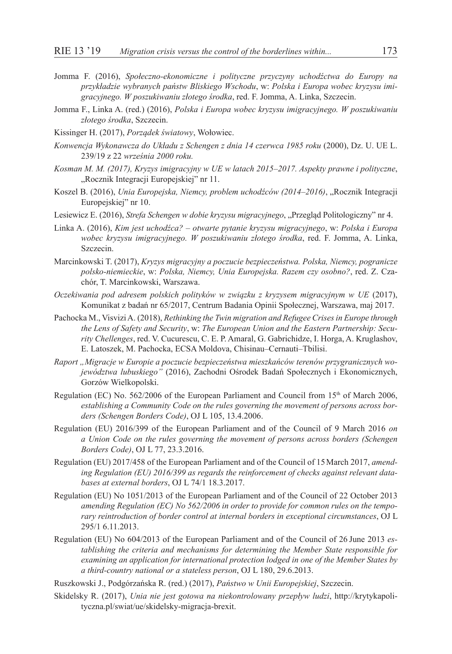- Jomma F. (2016), *Społeczno-ekonomiczne i polityczne przyczyny uchodźctwa do Europy na przykładzie wybranych państw Bliskiego Wschodu*, w: *Polska i Europa wobec kryzysu imigracyjnego. W poszukiwaniu złotego środka*, red. F. Jomma, A. Linka, Szczecin.
- Jomma F., Linka A. (red.) (2016), *Polska i Europa wobec kryzysu imigracyjnego. W poszukiwaniu złotego środka*, Szczecin.
- Kissinger H. (2017), *Porządek światowy*, Wołowiec.
- *Konwencja Wykonawcza do Układu z Schengen z dnia 14 czerwca 1985 roku* (2000), Dz. U. UE L. 239/19 z 22 *września 2000 roku.*
- *Kosman M. M. (2017), Kryzys imigracyjny w UE w latach 2015–2017. Aspekty prawne i polityczne*, "Rocznik Integracji Europejskiej" nr 11.
- Koszel B. (2016), *Unia Europejska, Niemcy, problem uchodźców (2014–2016)*, "Rocznik Integracji Europejskiej" nr 10.
- Lesiewicz E. (2016), *Strefa Schengen w dobie kryzysu migracyjnego*, "Przegląd Politologiczny" nr 4.
- Linka A. (2016), *Kim jest uchodźca? otwarte pytanie kryzysu migracyjnego*, w: *Polska i Europa wobec kryzysu imigracyjnego. W poszukiwaniu złotego środka*, red. F. Jomma, A. Linka, Szczecin.
- Marcinkowski T. (2017), *Kryzys migracyjny a poczucie bezpieczeństwa. Polska, Niemcy, pogranicze polsko-niemieckie*, w: *Polska, Niemcy, Unia Europejska. Razem czy osobno?*, red. Z. Czachór, T. Marcinkowski, Warszawa.
- *Oczekiwania pod adresem polskich polityków w związku z kryzysem migracyjnym w UE* (2017), Komunikat z badań nr 65/2017, Centrum Badania Opinii Społecznej, Warszawa, maj 2017.
- Pachocka M., Visvizi A. (2018), *Rethinking the Twin migration and Refugee Crises in Europe through the Lens of Safety and Security*, w: *The European Union and the Eastern Partnership: Security Chellenges*, red. V. Cucurescu, C. E. P. Amaral, G. Gabrichidze, I. Horga, A. Kruglashov, E. Latoszek, M. Pachocka, ECSA Moldova, Chisinau–Cernauti–Tbilisi.
- *Raport "Migracje w Europie a poczucie bezpieczeństwa mieszkańców terenów przygranicznych województwa lubuskiego"* (2016), Zachodni Ośrodek Badań Społecznych i Ekonomicznych, Gorzów Wielkopolski.
- Regulation (EC) No. 562/2006 of the European Parliament and Council from 15th of March 2006, *establishing a Community Code on the rules governing the movement of persons across borders (Schengen Borders Code)*, OJ L 105, 13.4.2006.
- Regulation (EU) 2016/399 of the European Parliament and of the Council of 9 March 2016 *on a Union Code on the rules governing the movement of persons across borders (Schengen Borders Code)*, OJ L 77, 23.3.2016.
- Regulation (EU) 2017/458 of the European Parliament and of the Council of 15March 2017, *amending Regulation (EU) 2016/399 as regards the reinforcement of checks against relevant databases at external borders*, OJ L 74/1 18.3.2017.
- Regulation (EU) No 1051/2013 of the European Parliament and of the Council of 22 October 2013 *amending Regulation (EC) No 562/2006 in order to provide for common rules on the temporary reintroduction of border control at internal borders in exceptional circumstances*, OJ L 295/1 6.11.2013.
- Regulation (EU) No 604/2013 of the European Parliament and of the Council of 26 June 2013 *establishing the criteria and mechanisms for determining the Member State responsible for examining an application for international protection lodged in one of the Member States by a third-country national or a stateless person*, OJ L 180, 29.6.2013.
- Ruszkowski J., Podgórzańska R. (red.) (2017), *Państwo w Unii Europejskiej*, Szczecin.
- Skidelsky R. (2017), *Unia nie jest gotowa na niekontrolowany przepływ ludzi*, http://krytykapolityczna.pl/swiat/ue/skidelsky-migracja-brexit.